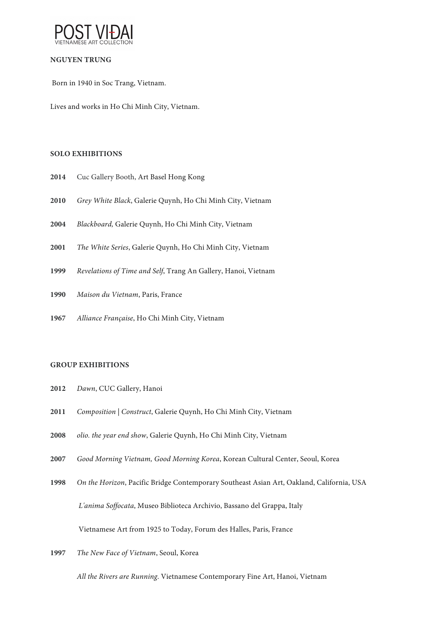

# **NGUYEN TRUNG**

Born in 1940 in Soc Trang, Vietnam.

Lives and works in Ho Chi Minh City, Vietnam.

## **SOLO EXHIBITIONS**

- Cuc Gallery Booth, Art Basel Hong Kong
- *Grey White Black*, Galerie Quynh, Ho Chi Minh City, Vietnam
- *Blackboard,* Galerie Quynh, Ho Chi Minh City, Vietnam
- *The White Series*, Galerie Quynh, Ho Chi Minh City, Vietnam
- *Revelations of Time and Self*, Trang An Gallery, Hanoi, Vietnam
- *Maison du Vietnam*, Paris, France
- *Alliance Française*, Ho Chi Minh City, Vietnam

## **GROUP EXHIBITIONS**

- *Dawn*, CUC Gallery, Hanoi
- *Composition | Construct*, Galerie Quynh, Ho Chi Minh City, Vietnam
- *olio. the year end show*, Galerie Quynh, Ho Chi Minh City, Vietnam
- *Good Morning Vietnam, Good Morning Korea*, Korean Cultural Center, Seoul, Korea
- *On the Horizon*, Pacific Bridge Contemporary Southeast Asian Art, Oakland, California, USA *L'anima Soffocata*, Museo Biblioteca Archivio, Bassano del Grappa, Italy Vietnamese Art from 1925 to Today, Forum des Halles, Paris, France
- *The New Face of Vietnam*, Seoul, Korea

*All the Rivers are Running*. Vietnamese Contemporary Fine Art, Hanoi, Vietnam